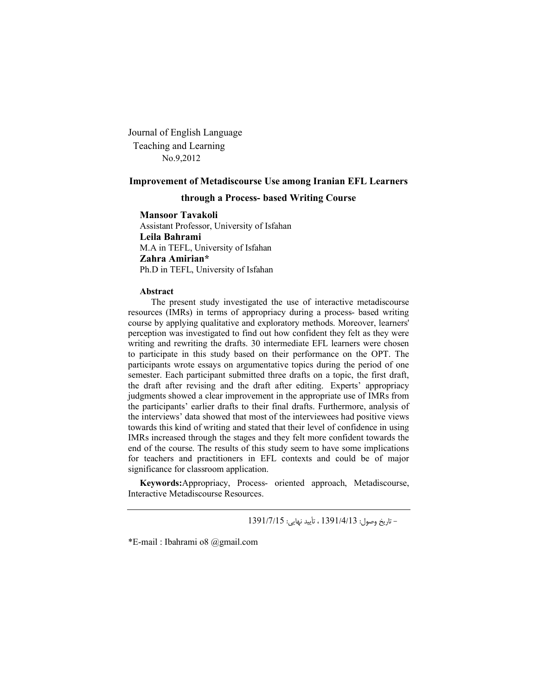Journal of English Language Teaching and Learning No.9,2012

#### **Improvement of Metadiscourse Use among Iranian EFL Learners**

#### **through a Process- based Writing Course**

#### **Mansoor Tavakoli**

Assistant Professor, University of Isfahan **Leila Bahrami** M.A in TEFL, University of Isfahan **Zahra Amirian\*** Ph.D in TEFL, University of Isfahan

#### **Abstract**

 The present study investigated the use of interactive metadiscourse resources (IMRs) in terms of appropriacy during a process- based writing course by applying qualitative and exploratory methods. Moreover, learners' perception was investigated to find out how confident they felt as they were writing and rewriting the drafts. 30 intermediate EFL learners were chosen to participate in this study based on their performance on the OPT. The participants wrote essays on argumentative topics during the period of one semester. Each participant submitted three drafts on a topic, the first draft, the draft after revising and the draft after editing. Experts' appropriacy judgments showed a clear improvement in the appropriate use of IMRs from the participants' earlier drafts to their final drafts. Furthermore, analysis of the interviews' data showed that most of the interviewees had positive views towards this kind of writing and stated that their level of confidence in using IMRs increased through the stages and they felt more confident towards the end of the course. The results of this study seem to have some implications for teachers and practitioners in EFL contexts and could be of major significance for classroom application.

**Keywords:**Appropriacy, Process- oriented approach, Metadiscourse, Interactive Metadiscourse Resources.

- تاریخ وصول: 1391/4/13 ، تأیید نهایی: 1391/7/15

\*E-mail : Ibahrami o8 @gmail.com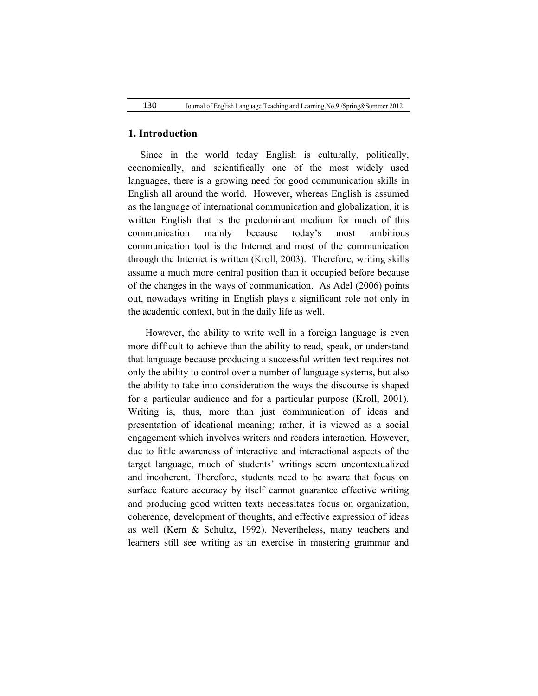#### **1. Introduction**

 Since in the world today English is culturally, politically, economically, and scientifically one of the most widely used languages, there is a growing need for good communication skills in English all around the world. However, whereas English is assumed as the language of international communication and globalization, it is written English that is the predominant medium for much of this communication mainly because today's most ambitious communication tool is the Internet and most of the communication through the Internet is written (Kroll, 2003). Therefore, writing skills assume a much more central position than it occupied before because of the changes in the ways of communication. As Adel (2006) points out, nowadays writing in English plays a significant role not only in the academic context, but in the daily life as well.

 However, the ability to write well in a foreign language is even more difficult to achieve than the ability to read, speak, or understand that language because producing a successful written text requires not only the ability to control over a number of language systems, but also the ability to take into consideration the ways the discourse is shaped for a particular audience and for a particular purpose (Kroll, 2001). Writing is, thus, more than just communication of ideas and presentation of ideational meaning; rather, it is viewed as a social engagement which involves writers and readers interaction. However, due to little awareness of interactive and interactional aspects of the target language, much of students' writings seem uncontextualized and incoherent. Therefore, students need to be aware that focus on surface feature accuracy by itself cannot guarantee effective writing and producing good written texts necessitates focus on organization, coherence, development of thoughts, and effective expression of ideas as well (Kern & Schultz, 1992). Nevertheless, many teachers and learners still see writing as an exercise in mastering grammar and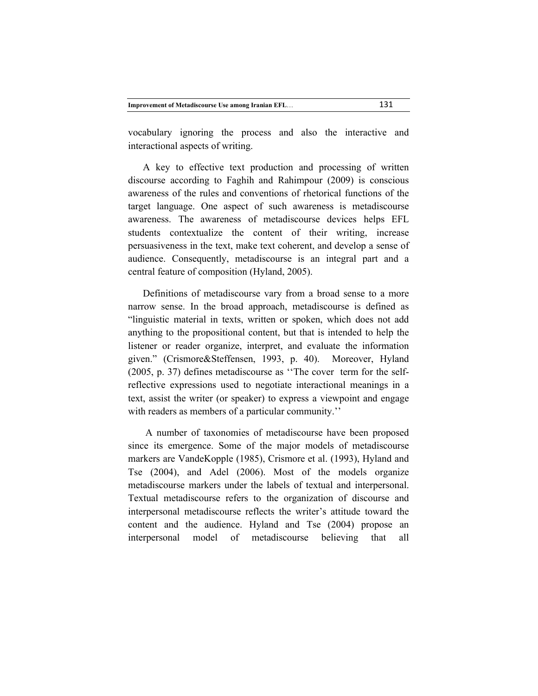|  |  | <b>Improvement of Metadiscourse Use among Iranian EFL</b> | 131 |
|--|--|-----------------------------------------------------------|-----|
|--|--|-----------------------------------------------------------|-----|

vocabulary ignoring the process and also the interactive and interactional aspects of writing.

 A key to effective text production and processing of written discourse according to Faghih and Rahimpour (2009) is conscious awareness of the rules and conventions of rhetorical functions of the target language. One aspect of such awareness is metadiscourse awareness. The awareness of metadiscourse devices helps EFL students contextualize the content of their writing, increase persuasiveness in the text, make text coherent, and develop a sense of audience. Consequently, metadiscourse is an integral part and a central feature of composition (Hyland, 2005).

 Definitions of metadiscourse vary from a broad sense to a more narrow sense. In the broad approach, metadiscourse is defined as "linguistic material in texts, written or spoken, which does not add anything to the propositional content, but that is intended to help the listener or reader organize, interpret, and evaluate the information given." (Crismore&Steffensen, 1993, p. 40). Moreover, Hyland (2005, p. 37) defines metadiscourse as ''The cover term for the selfreflective expressions used to negotiate interactional meanings in a text, assist the writer (or speaker) to express a viewpoint and engage with readers as members of a particular community.''

 A number of taxonomies of metadiscourse have been proposed since its emergence. Some of the major models of metadiscourse markers are VandeKopple (1985), Crismore et al. (1993), Hyland and Tse (2004), and Adel (2006). Most of the models organize metadiscourse markers under the labels of textual and interpersonal. Textual metadiscourse refers to the organization of discourse and interpersonal metadiscourse reflects the writer's attitude toward the content and the audience. Hyland and Tse (2004) propose an interpersonal model of metadiscourse believing that all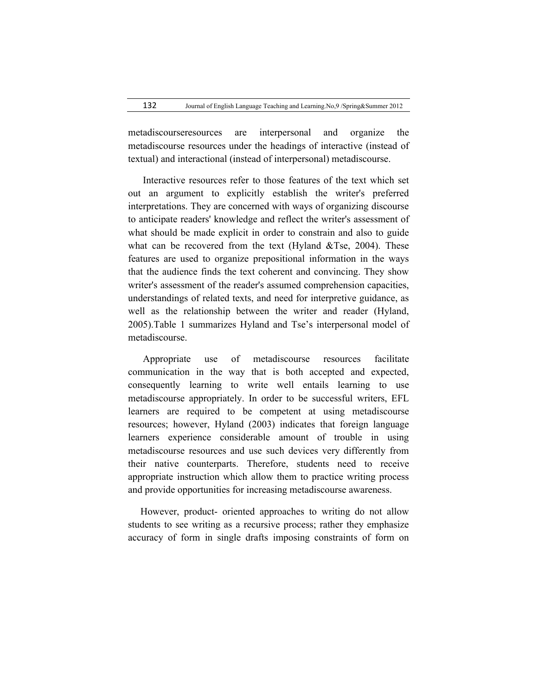metadiscourseresources are interpersonal and organize the metadiscourse resources under the headings of interactive (instead of textual) and interactional (instead of interpersonal) metadiscourse.

 Interactive resources refer to those features of the text which set out an argument to explicitly establish the writer's preferred interpretations. They are concerned with ways of organizing discourse to anticipate readers' knowledge and reflect the writer's assessment of what should be made explicit in order to constrain and also to guide what can be recovered from the text (Hyland  $&$ Tse, 2004). These features are used to organize prepositional information in the ways that the audience finds the text coherent and convincing. They show writer's assessment of the reader's assumed comprehension capacities, understandings of related texts, and need for interpretive guidance, as well as the relationship between the writer and reader (Hyland, 2005).Table 1 summarizes Hyland and Tse's interpersonal model of metadiscourse.

 Appropriate use of metadiscourse resources facilitate communication in the way that is both accepted and expected, consequently learning to write well entails learning to use metadiscourse appropriately. In order to be successful writers, EFL learners are required to be competent at using metadiscourse resources; however, Hyland (2003) indicates that foreign language learners experience considerable amount of trouble in using metadiscourse resources and use such devices very differently from their native counterparts. Therefore, students need to receive appropriate instruction which allow them to practice writing process and provide opportunities for increasing metadiscourse awareness.

 However, product- oriented approaches to writing do not allow students to see writing as a recursive process; rather they emphasize accuracy of form in single drafts imposing constraints of form on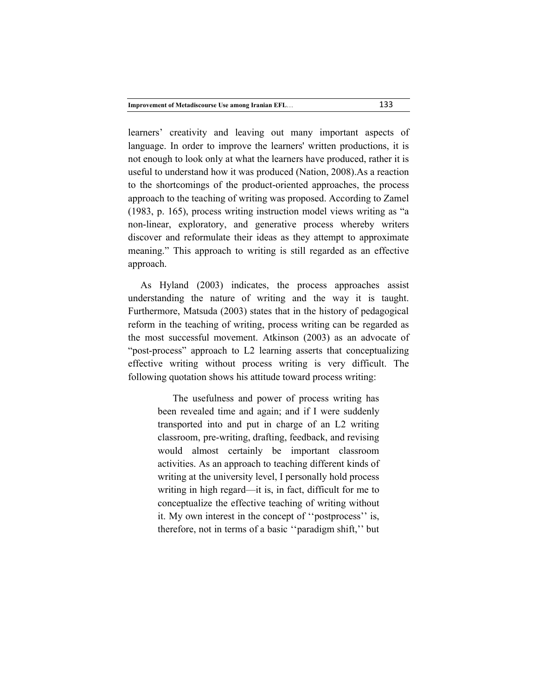learners' creativity and leaving out many important aspects of language. In order to improve the learners' written productions, it is not enough to look only at what the learners have produced, rather it is useful to understand how it was produced (Nation, 2008).As a reaction to the shortcomings of the product-oriented approaches, the process approach to the teaching of writing was proposed. According to Zamel (1983, p. 165), process writing instruction model views writing as "a non-linear, exploratory, and generative process whereby writers discover and reformulate their ideas as they attempt to approximate meaning." This approach to writing is still regarded as an effective approach.

 As Hyland (2003) indicates, the process approaches assist understanding the nature of writing and the way it is taught. Furthermore, Matsuda (2003) states that in the history of pedagogical reform in the teaching of writing, process writing can be regarded as the most successful movement. Atkinson (2003) as an advocate of "post-process" approach to L2 learning asserts that conceptualizing effective writing without process writing is very difficult. The following quotation shows his attitude toward process writing:

> The usefulness and power of process writing has been revealed time and again; and if I were suddenly transported into and put in charge of an L2 writing classroom, pre-writing, drafting, feedback, and revising would almost certainly be important classroom activities. As an approach to teaching different kinds of writing at the university level, I personally hold process writing in high regard—it is, in fact, difficult for me to conceptualize the effective teaching of writing without it. My own interest in the concept of ''postprocess'' is, therefore, not in terms of a basic ''paradigm shift,'' but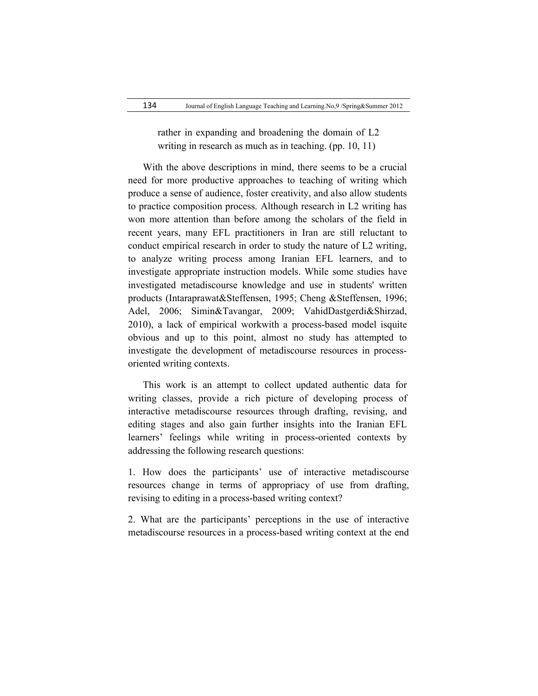rather in expanding and broadening the domain of L2 writing in research as much as in teaching. (pp. 10, 11)

 With the above descriptions in mind, there seems to be a crucial need for more productive approaches to teaching of writing which produce a sense of audience, foster creativity, and also allow students to practice composition process. Although research in L2 writing has won more attention than before among the scholars of the field in recent years, many EFL practitioners in Iran are still reluctant to conduct empirical research in order to study the nature of L2 writing, to analyze writing process among Iranian EFL learners, and to investigate appropriate instruction models. While some studies have investigated metadiscourse knowledge and use in students' written products (Intaraprawat&Steffensen, 1995; Cheng &Steffensen, 1996; Adel, 2006; Simin&Tavangar, 2009; VahidDastgerdi&Shirzad, 2010), a lack of empirical workwith a process-based model isquite obvious and up to this point, almost no study has attempted to investigate the development of metadiscourse resources in processoriented writing contexts.

 This work is an attempt to collect updated authentic data for writing classes, provide a rich picture of developing process of interactive metadiscourse resources through drafting, revising, and editing stages and also gain further insights into the Iranian EFL learners' feelings while writing in process-oriented contexts by addressing the following research questions:

1. How does the participants' use of interactive metadiscourse resources change in terms of appropriacy of use from drafting, revising to editing in a process-based writing context?

2. What are the participants' perceptions in the use of interactive metadiscourse resources in a process-based writing context at the end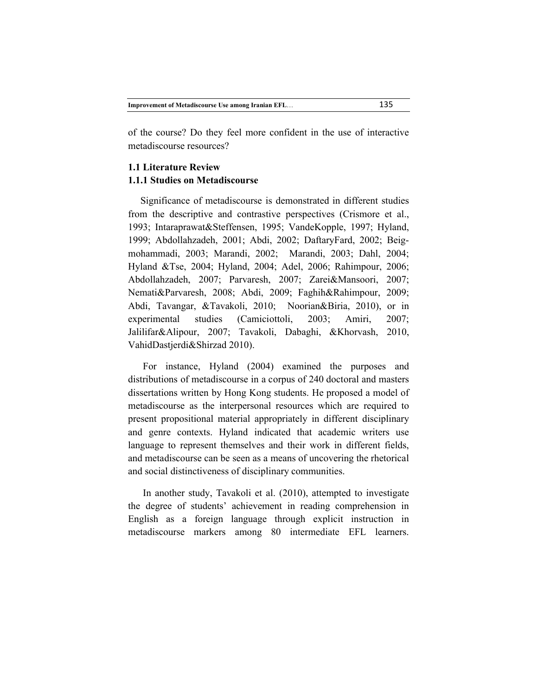of the course? Do they feel more confident in the use of interactive metadiscourse resources?

# **1.1 Literature Review 1.1.1 Studies on Metadiscourse**

 Significance of metadiscourse is demonstrated in different studies from the descriptive and contrastive perspectives (Crismore et al., 1993; Intaraprawat&Steffensen, 1995; VandeKopple, 1997; Hyland, 1999; Abdollahzadeh, 2001; Abdi, 2002; DaftaryFard, 2002; Beigmohammadi, 2003; Marandi, 2002; Marandi, 2003; Dahl, 2004; Hyland &Tse, 2004; Hyland, 2004; Adel, 2006; Rahimpour, 2006; Abdollahzadeh, 2007; Parvaresh, 2007; Zarei&Mansoori, 2007; Nemati&Parvaresh, 2008; Abdi, 2009; Faghih&Rahimpour, 2009; Abdi, Tavangar, &Tavakoli, 2010; Noorian&Biria, 2010), or in experimental studies (Camiciottoli, 2003; Amiri, 2007; Jalilifar&Alipour, 2007; Tavakoli, Dabaghi, &Khorvash, 2010, VahidDastjerdi&Shirzad 2010).

 For instance, Hyland (2004) examined the purposes and distributions of metadiscourse in a corpus of 240 doctoral and masters dissertations written by Hong Kong students. He proposed a model of metadiscourse as the interpersonal resources which are required to present propositional material appropriately in different disciplinary and genre contexts. Hyland indicated that academic writers use language to represent themselves and their work in different fields, and metadiscourse can be seen as a means of uncovering the rhetorical and social distinctiveness of disciplinary communities.

 In another study, Tavakoli et al. (2010), attempted to investigate the degree of students' achievement in reading comprehension in English as a foreign language through explicit instruction in metadiscourse markers among 80 intermediate EFL learners.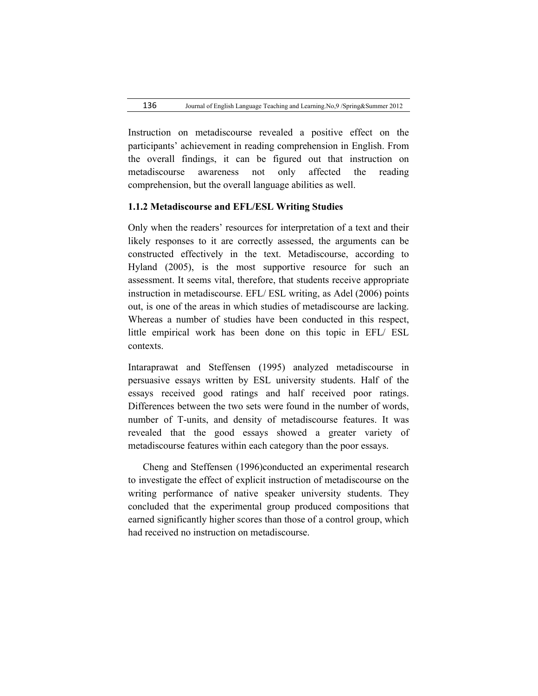Instruction on metadiscourse revealed a positive effect on the participants' achievement in reading comprehension in English. From the overall findings, it can be figured out that instruction on metadiscourse awareness not only affected the reading comprehension, but the overall language abilities as well.

#### **1.1.2 Metadiscourse and EFL/ESL Writing Studies**

Only when the readers' resources for interpretation of a text and their likely responses to it are correctly assessed, the arguments can be constructed effectively in the text. Metadiscourse, according to Hyland (2005), is the most supportive resource for such an assessment. It seems vital, therefore, that students receive appropriate instruction in metadiscourse. EFL/ ESL writing, as Adel (2006) points out, is one of the areas in which studies of metadiscourse are lacking. Whereas a number of studies have been conducted in this respect, little empirical work has been done on this topic in EFL/ ESL contexts.

Intaraprawat and Steffensen (1995) analyzed metadiscourse in persuasive essays written by ESL university students. Half of the essays received good ratings and half received poor ratings. Differences between the two sets were found in the number of words, number of T-units, and density of metadiscourse features. It was revealed that the good essays showed a greater variety of metadiscourse features within each category than the poor essays.

 Cheng and Steffensen (1996)conducted an experimental research to investigate the effect of explicit instruction of metadiscourse on the writing performance of native speaker university students. They concluded that the experimental group produced compositions that earned significantly higher scores than those of a control group, which had received no instruction on metadiscourse.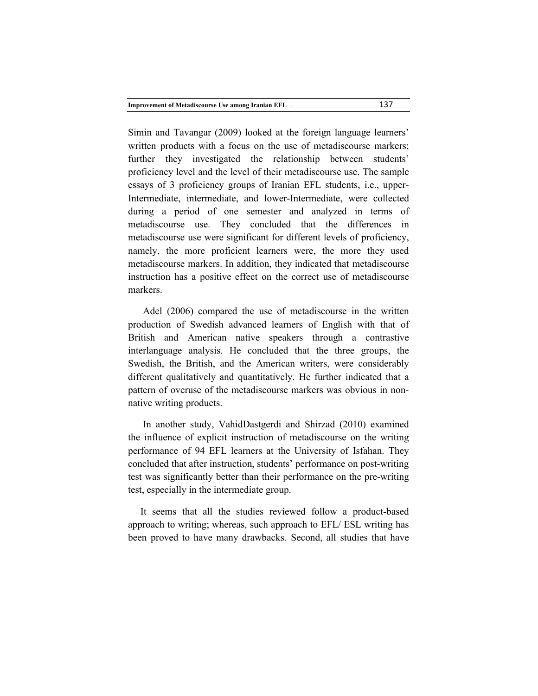| <b>Improvement of Metadiscourse Use among Iranian EFL</b> | 137 |
|-----------------------------------------------------------|-----|
|-----------------------------------------------------------|-----|

Simin and Tavangar (2009) looked at the foreign language learners' written products with a focus on the use of metadiscourse markers; further they investigated the relationship between students' proficiency level and the level of their metadiscourse use. The sample essays of 3 proficiency groups of Iranian EFL students, i.e., upper-Intermediate, intermediate, and lower-Intermediate, were collected during a period of one semester and analyzed in terms of metadiscourse use. They concluded that the differences in metadiscourse use were significant for different levels of proficiency, namely, the more proficient learners were, the more they used metadiscourse markers. In addition, they indicated that metadiscourse instruction has a positive effect on the correct use of metadiscourse markers.

 Adel (2006) compared the use of metadiscourse in the written production of Swedish advanced learners of English with that of British and American native speakers through a contrastive interlanguage analysis. He concluded that the three groups, the Swedish, the British, and the American writers, were considerably different qualitatively and quantitatively. He further indicated that a pattern of overuse of the metadiscourse markers was obvious in nonnative writing products.

 In another study, VahidDastgerdi and Shirzad (2010) examined the influence of explicit instruction of metadiscourse on the writing performance of 94 EFL learners at the University of Isfahan. They concluded that after instruction, students' performance on post-writing test was significantly better than their performance on the pre-writing test, especially in the intermediate group.

 It seems that all the studies reviewed follow a product-based approach to writing; whereas, such approach to EFL/ ESL writing has been proved to have many drawbacks. Second, all studies that have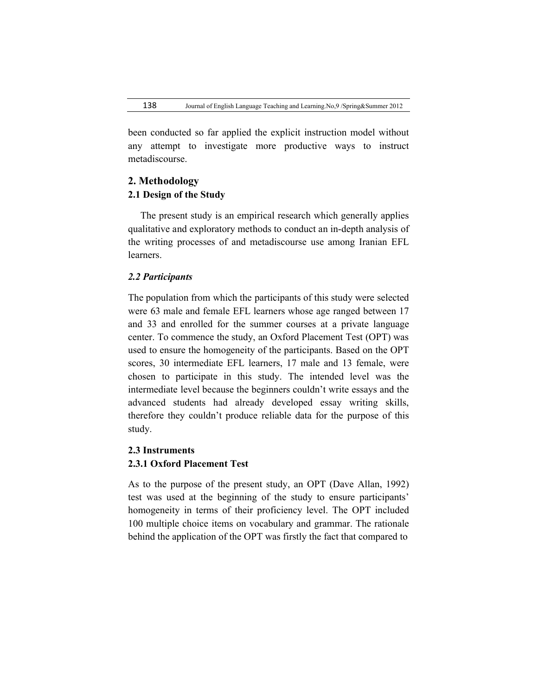been conducted so far applied the explicit instruction model without any attempt to investigate more productive ways to instruct metadiscourse.

## **2. Methodology**

## **2.1 Design of the Study**

 The present study is an empirical research which generally applies qualitative and exploratory methods to conduct an in-depth analysis of the writing processes of and metadiscourse use among Iranian EFL learners.

## *2.2 Participants*

The population from which the participants of this study were selected were 63 male and female EFL learners whose age ranged between 17 and 33 and enrolled for the summer courses at a private language center. To commence the study, an Oxford Placement Test (OPT) was used to ensure the homogeneity of the participants. Based on the OPT scores, 30 intermediate EFL learners, 17 male and 13 female, were chosen to participate in this study. The intended level was the intermediate level because the beginners couldn't write essays and the advanced students had already developed essay writing skills, therefore they couldn't produce reliable data for the purpose of this study.

# **2.3 Instruments**

# **2.3.1 Oxford Placement Test**

As to the purpose of the present study, an OPT (Dave Allan, 1992) test was used at the beginning of the study to ensure participants' homogeneity in terms of their proficiency level. The OPT included 100 multiple choice items on vocabulary and grammar. The rationale behind the application of the OPT was firstly the fact that compared to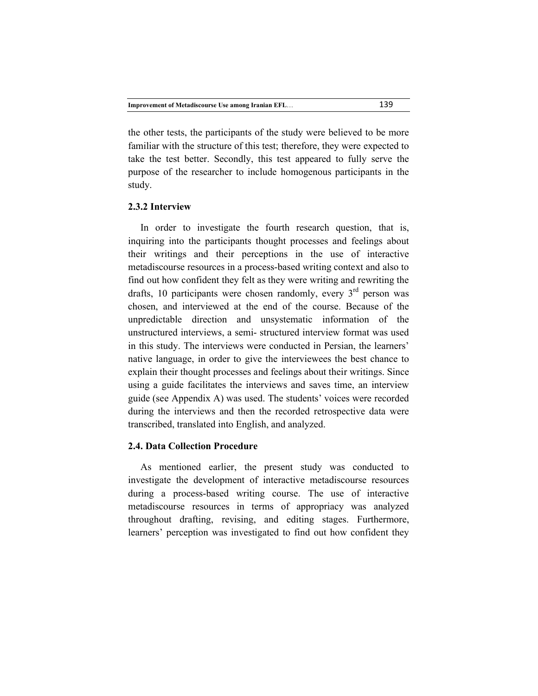the other tests, the participants of the study were believed to be more familiar with the structure of this test; therefore, they were expected to take the test better. Secondly, this test appeared to fully serve the purpose of the researcher to include homogenous participants in the study.

## **2.3.2 Interview**

 In order to investigate the fourth research question, that is, inquiring into the participants thought processes and feelings about their writings and their perceptions in the use of interactive metadiscourse resources in a process-based writing context and also to find out how confident they felt as they were writing and rewriting the drafts, 10 participants were chosen randomly, every  $3<sup>rd</sup>$  person was chosen, and interviewed at the end of the course. Because of the unpredictable direction and unsystematic information of the unstructured interviews, a semi- structured interview format was used in this study. The interviews were conducted in Persian, the learners' native language, in order to give the interviewees the best chance to explain their thought processes and feelings about their writings. Since using a guide facilitates the interviews and saves time, an interview guide (see Appendix A) was used. The students' voices were recorded during the interviews and then the recorded retrospective data were transcribed, translated into English, and analyzed.

## **2.4. Data Collection Procedure**

 As mentioned earlier, the present study was conducted to investigate the development of interactive metadiscourse resources during a process-based writing course. The use of interactive metadiscourse resources in terms of appropriacy was analyzed throughout drafting, revising, and editing stages. Furthermore, learners' perception was investigated to find out how confident they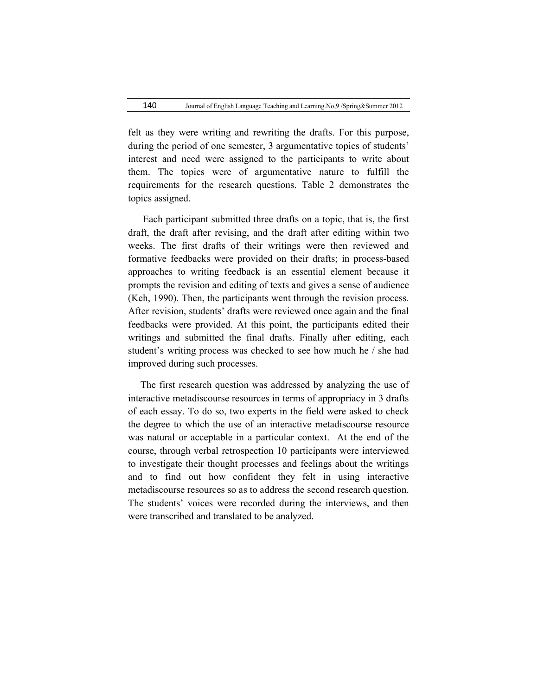felt as they were writing and rewriting the drafts. For this purpose, during the period of one semester, 3 argumentative topics of students' interest and need were assigned to the participants to write about them. The topics were of argumentative nature to fulfill the requirements for the research questions. Table 2 demonstrates the topics assigned.

 Each participant submitted three drafts on a topic, that is, the first draft, the draft after revising, and the draft after editing within two weeks. The first drafts of their writings were then reviewed and formative feedbacks were provided on their drafts; in process-based approaches to writing feedback is an essential element because it prompts the revision and editing of texts and gives a sense of audience (Keh, 1990). Then, the participants went through the revision process. After revision, students' drafts were reviewed once again and the final feedbacks were provided. At this point, the participants edited their writings and submitted the final drafts. Finally after editing, each student's writing process was checked to see how much he / she had improved during such processes.

 The first research question was addressed by analyzing the use of interactive metadiscourse resources in terms of appropriacy in 3 drafts of each essay. To do so, two experts in the field were asked to check the degree to which the use of an interactive metadiscourse resource was natural or acceptable in a particular context. At the end of the course, through verbal retrospection 10 participants were interviewed to investigate their thought processes and feelings about the writings and to find out how confident they felt in using interactive metadiscourse resources so as to address the second research question. The students' voices were recorded during the interviews, and then were transcribed and translated to be analyzed.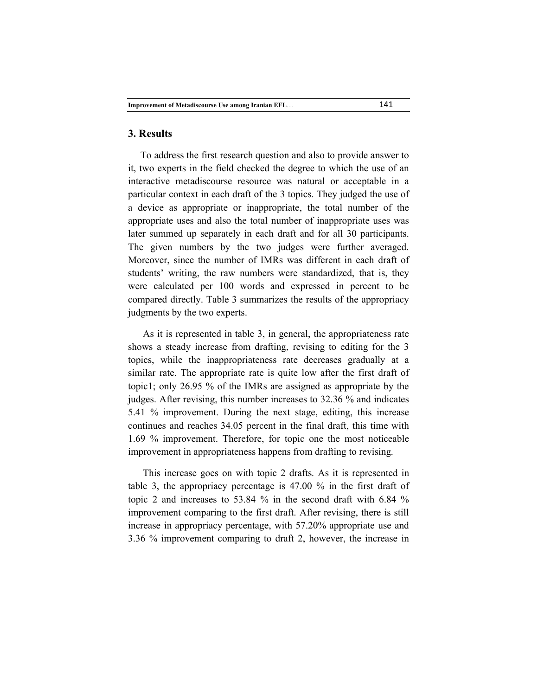#### **3. Results**

 To address the first research question and also to provide answer to it, two experts in the field checked the degree to which the use of an interactive metadiscourse resource was natural or acceptable in a particular context in each draft of the 3 topics. They judged the use of a device as appropriate or inappropriate, the total number of the appropriate uses and also the total number of inappropriate uses was later summed up separately in each draft and for all 30 participants. The given numbers by the two judges were further averaged. Moreover, since the number of IMRs was different in each draft of students' writing, the raw numbers were standardized, that is, they were calculated per 100 words and expressed in percent to be compared directly. Table 3 summarizes the results of the appropriacy judgments by the two experts.

 As it is represented in table 3, in general, the appropriateness rate shows a steady increase from drafting, revising to editing for the 3 topics, while the inappropriateness rate decreases gradually at a similar rate. The appropriate rate is quite low after the first draft of topic1; only 26.95 % of the IMRs are assigned as appropriate by the judges. After revising, this number increases to 32.36 % and indicates 5.41 % improvement. During the next stage, editing, this increase continues and reaches 34.05 percent in the final draft, this time with 1.69 % improvement. Therefore, for topic one the most noticeable improvement in appropriateness happens from drafting to revising.

 This increase goes on with topic 2 drafts. As it is represented in table 3, the appropriacy percentage is 47.00 % in the first draft of topic 2 and increases to 53.84 % in the second draft with 6.84 % improvement comparing to the first draft. After revising, there is still increase in appropriacy percentage, with 57.20% appropriate use and 3.36 % improvement comparing to draft 2, however, the increase in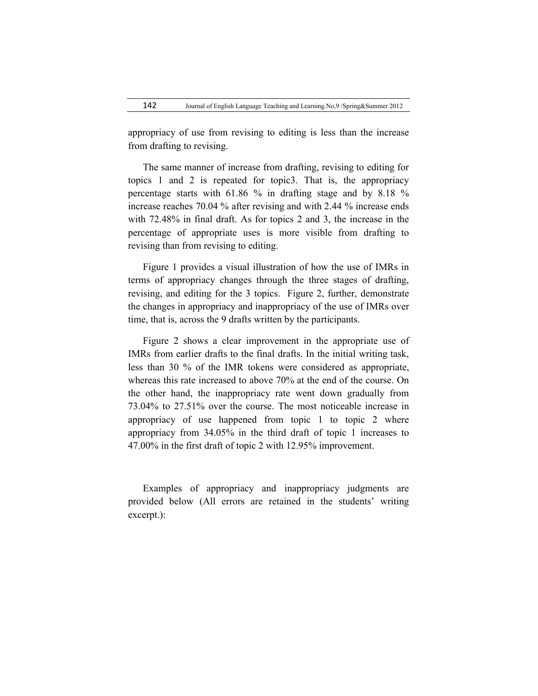appropriacy of use from revising to editing is less than the increase from drafting to revising.

 The same manner of increase from drafting, revising to editing for topics 1 and 2 is repeated for topic3. That is, the appropriacy percentage starts with 61.86 % in drafting stage and by 8.18 % increase reaches 70.04 % after revising and with 2.44 % increase ends with 72.48% in final draft. As for topics 2 and 3, the increase in the percentage of appropriate uses is more visible from drafting to revising than from revising to editing.

 Figure 1 provides a visual illustration of how the use of IMRs in terms of appropriacy changes through the three stages of drafting, revising, and editing for the 3 topics. Figure 2, further, demonstrate the changes in appropriacy and inappropriacy of the use of IMRs over time, that is, across the 9 drafts written by the participants.

 Figure 2 shows a clear improvement in the appropriate use of IMRs from earlier drafts to the final drafts. In the initial writing task, less than 30 % of the IMR tokens were considered as appropriate, whereas this rate increased to above 70% at the end of the course. On the other hand, the inappropriacy rate went down gradually from 73.04% to 27.51% over the course. The most noticeable increase in appropriacy of use happened from topic 1 to topic 2 where appropriacy from 34.05% in the third draft of topic 1 increases to 47.00% in the first draft of topic 2 with 12.95% improvement.

 Examples of appropriacy and inappropriacy judgments are provided below (All errors are retained in the students' writing excerpt.):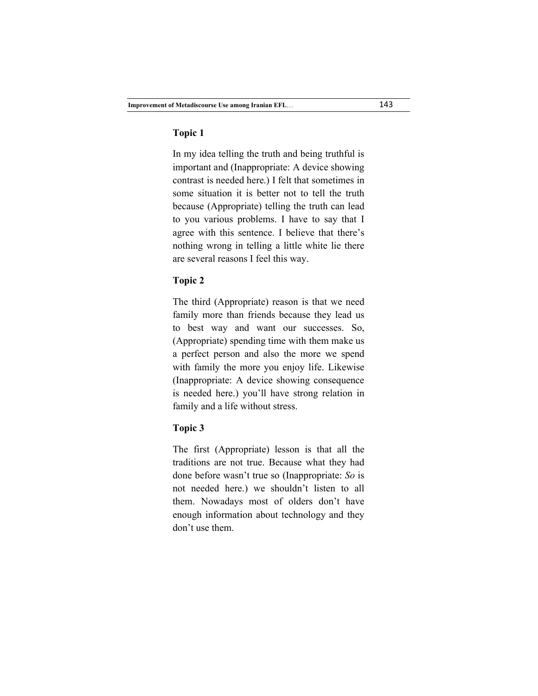## **Topic 1**

In my idea telling the truth and being truthful is important and (Inappropriate: A device showing contrast is needed here.) I felt that sometimes in some situation it is better not to tell the truth because (Appropriate) telling the truth can lead to you various problems. I have to say that I agree with this sentence. I believe that there's nothing wrong in telling a little white lie there are several reasons I feel this way.

## **Topic 2**

The third (Appropriate) reason is that we need family more than friends because they lead us to best way and want our successes. So, (Appropriate) spending time with them make us a perfect person and also the more we spend with family the more you enjoy life. Likewise (Inappropriate: A device showing consequence is needed here.) you'll have strong relation in family and a life without stress.

#### **Topic 3**

The first (Appropriate) lesson is that all the traditions are not true. Because what they had done before wasn't true so (Inappropriate: *So* is not needed here.) we shouldn't listen to all them. Nowadays most of olders don't have enough information about technology and they don't use them.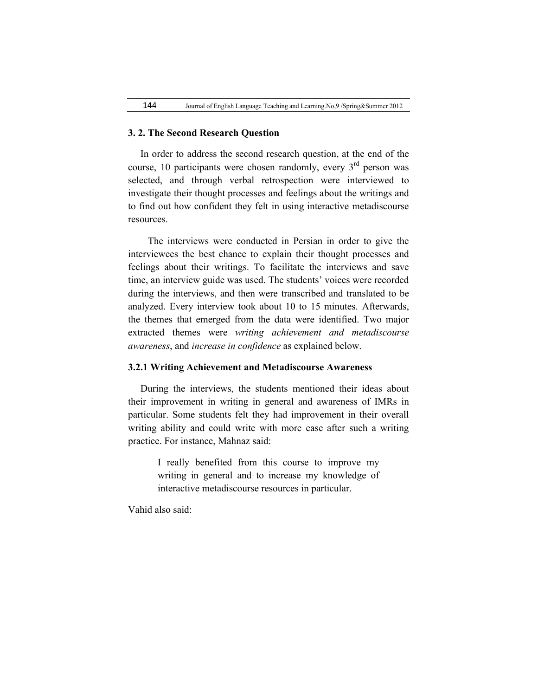#### **3. 2. The Second Research Question**

 In order to address the second research question, at the end of the course, 10 participants were chosen randomly, every  $3<sup>rd</sup>$  person was selected, and through verbal retrospection were interviewed to investigate their thought processes and feelings about the writings and to find out how confident they felt in using interactive metadiscourse resources.

 The interviews were conducted in Persian in order to give the interviewees the best chance to explain their thought processes and feelings about their writings. To facilitate the interviews and save time, an interview guide was used. The students' voices were recorded during the interviews, and then were transcribed and translated to be analyzed. Every interview took about 10 to 15 minutes. Afterwards, the themes that emerged from the data were identified. Two major extracted themes were *writing achievement and metadiscourse awareness*, and *increase in confidence* as explained below.

## **3.2.1 Writing Achievement and Metadiscourse Awareness**

 During the interviews, the students mentioned their ideas about their improvement in writing in general and awareness of IMRs in particular. Some students felt they had improvement in their overall writing ability and could write with more ease after such a writing practice. For instance, Mahnaz said:

> I really benefited from this course to improve my writing in general and to increase my knowledge of interactive metadiscourse resources in particular.

Vahid also said: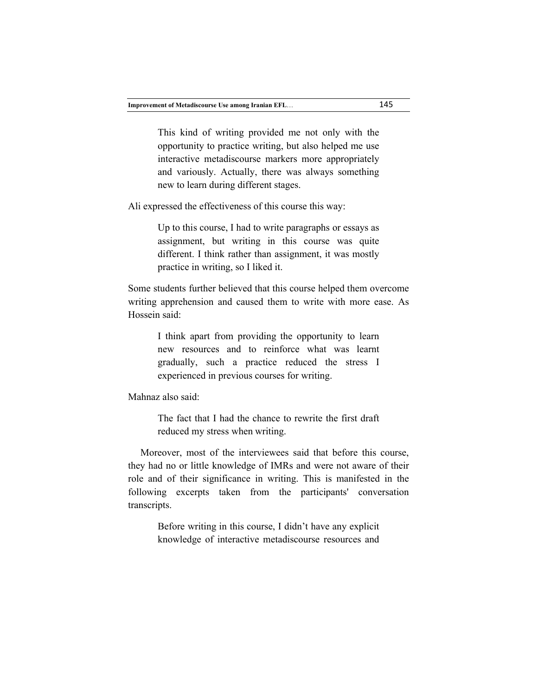This kind of writing provided me not only with the opportunity to practice writing, but also helped me use interactive metadiscourse markers more appropriately and variously. Actually, there was always something new to learn during different stages.

Ali expressed the effectiveness of this course this way:

Up to this course, I had to write paragraphs or essays as assignment, but writing in this course was quite different. I think rather than assignment, it was mostly practice in writing, so I liked it.

Some students further believed that this course helped them overcome writing apprehension and caused them to write with more ease. As Hossein said:

> I think apart from providing the opportunity to learn new resources and to reinforce what was learnt gradually, such a practice reduced the stress I experienced in previous courses for writing.

Mahnaz also said:

The fact that I had the chance to rewrite the first draft reduced my stress when writing.

 Moreover, most of the interviewees said that before this course, they had no or little knowledge of IMRs and were not aware of their role and of their significance in writing. This is manifested in the following excerpts taken from the participants' conversation transcripts.

> Before writing in this course, I didn't have any explicit knowledge of interactive metadiscourse resources and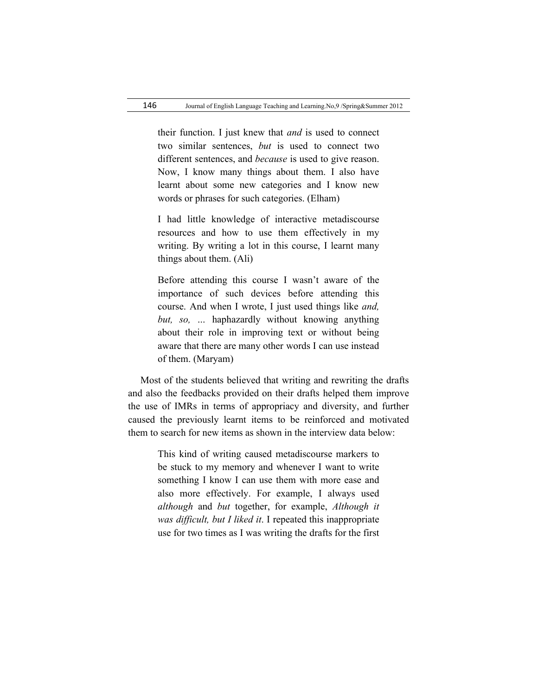their function. I just knew that *and* is used to connect two similar sentences, *but* is used to connect two different sentences, and *because* is used to give reason. Now, I know many things about them. I also have learnt about some new categories and I know new words or phrases for such categories. (Elham)

I had little knowledge of interactive metadiscourse resources and how to use them effectively in my writing. By writing a lot in this course, I learnt many things about them. (Ali)

Before attending this course I wasn't aware of the importance of such devices before attending this course. And when I wrote, I just used things like *and, but, so, …* haphazardly without knowing anything about their role in improving text or without being aware that there are many other words I can use instead of them. (Maryam)

 Most of the students believed that writing and rewriting the drafts and also the feedbacks provided on their drafts helped them improve the use of IMRs in terms of appropriacy and diversity, and further caused the previously learnt items to be reinforced and motivated them to search for new items as shown in the interview data below:

> This kind of writing caused metadiscourse markers to be stuck to my memory and whenever I want to write something I know I can use them with more ease and also more effectively. For example, I always used *although* and *but* together, for example, *Although it was difficult, but I liked it*. I repeated this inappropriate use for two times as I was writing the drafts for the first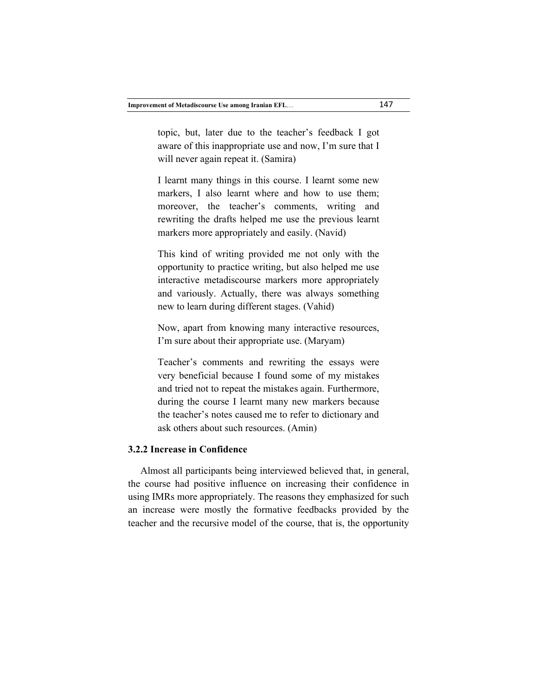topic, but, later due to the teacher's feedback I got aware of this inappropriate use and now, I'm sure that I will never again repeat it. (Samira)

I learnt many things in this course. I learnt some new markers, I also learnt where and how to use them; moreover, the teacher's comments, writing and rewriting the drafts helped me use the previous learnt markers more appropriately and easily. (Navid)

This kind of writing provided me not only with the opportunity to practice writing, but also helped me use interactive metadiscourse markers more appropriately and variously. Actually, there was always something new to learn during different stages. (Vahid)

Now, apart from knowing many interactive resources, I'm sure about their appropriate use. (Maryam)

Teacher's comments and rewriting the essays were very beneficial because I found some of my mistakes and tried not to repeat the mistakes again. Furthermore, during the course I learnt many new markers because the teacher's notes caused me to refer to dictionary and ask others about such resources. (Amin)

### **3.2.2 Increase in Confidence**

 Almost all participants being interviewed believed that, in general, the course had positive influence on increasing their confidence in using IMRs more appropriately. The reasons they emphasized for such an increase were mostly the formative feedbacks provided by the teacher and the recursive model of the course, that is, the opportunity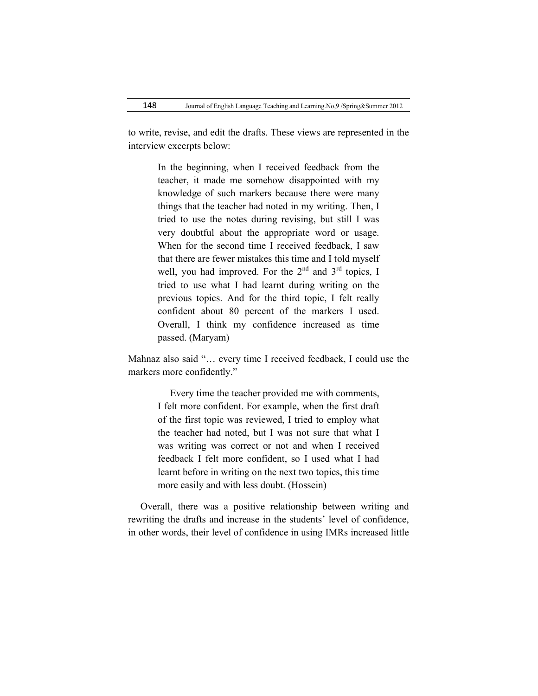to write, revise, and edit the drafts. These views are represented in the interview excerpts below:

> In the beginning, when I received feedback from the teacher, it made me somehow disappointed with my knowledge of such markers because there were many things that the teacher had noted in my writing. Then, I tried to use the notes during revising, but still I was very doubtful about the appropriate word or usage. When for the second time I received feedback, I saw that there are fewer mistakes this time and I told myself well, you had improved. For the  $2<sup>nd</sup>$  and  $3<sup>rd</sup>$  topics. I tried to use what I had learnt during writing on the previous topics. And for the third topic, I felt really confident about 80 percent of the markers I used. Overall, I think my confidence increased as time passed. (Maryam)

Mahnaz also said "… every time I received feedback, I could use the markers more confidently."

> Every time the teacher provided me with comments, I felt more confident. For example, when the first draft of the first topic was reviewed, I tried to employ what the teacher had noted, but I was not sure that what I was writing was correct or not and when I received feedback I felt more confident, so I used what I had learnt before in writing on the next two topics, this time more easily and with less doubt. (Hossein)

 Overall, there was a positive relationship between writing and rewriting the drafts and increase in the students' level of confidence, in other words, their level of confidence in using IMRs increased little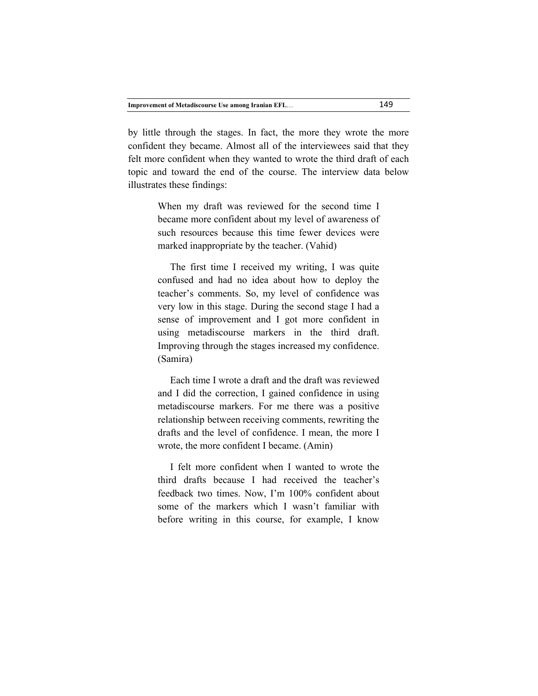by little through the stages. In fact, the more they wrote the more confident they became. Almost all of the interviewees said that they felt more confident when they wanted to wrote the third draft of each topic and toward the end of the course. The interview data below illustrates these findings:

> When my draft was reviewed for the second time I became more confident about my level of awareness of such resources because this time fewer devices were marked inappropriate by the teacher. (Vahid)

> The first time I received my writing, I was quite confused and had no idea about how to deploy the teacher's comments. So, my level of confidence was very low in this stage. During the second stage I had a sense of improvement and I got more confident in using metadiscourse markers in the third draft. Improving through the stages increased my confidence. (Samira)

> Each time I wrote a draft and the draft was reviewed and I did the correction, I gained confidence in using metadiscourse markers. For me there was a positive relationship between receiving comments, rewriting the drafts and the level of confidence. I mean, the more I wrote, the more confident I became. (Amin)

> I felt more confident when I wanted to wrote the third drafts because I had received the teacher's feedback two times. Now, I'm 100% confident about some of the markers which I wasn't familiar with before writing in this course, for example, I know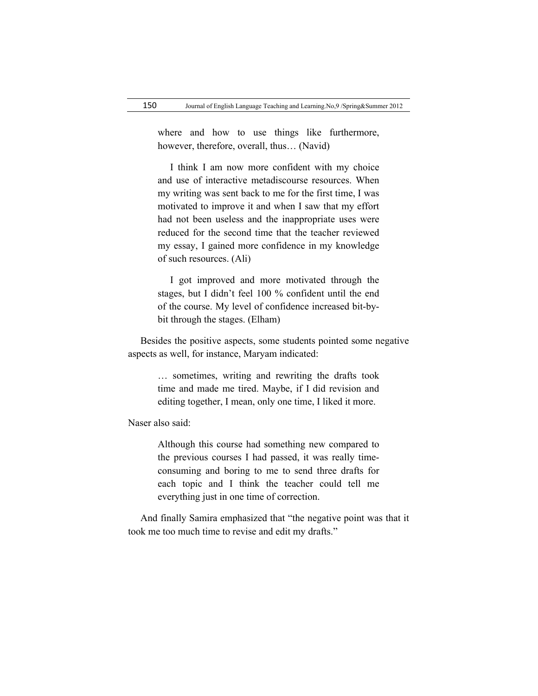where and how to use things like furthermore, however, therefore, overall, thus… (Navid)

 I think I am now more confident with my choice and use of interactive metadiscourse resources. When my writing was sent back to me for the first time, I was motivated to improve it and when I saw that my effort had not been useless and the inappropriate uses were reduced for the second time that the teacher reviewed my essay, I gained more confidence in my knowledge of such resources. (Ali)

 I got improved and more motivated through the stages, but I didn't feel 100 % confident until the end of the course. My level of confidence increased bit-bybit through the stages. (Elham)

 Besides the positive aspects, some students pointed some negative aspects as well, for instance, Maryam indicated:

> … sometimes, writing and rewriting the drafts took time and made me tired. Maybe, if I did revision and editing together, I mean, only one time, I liked it more.

Naser also said:

Although this course had something new compared to the previous courses I had passed, it was really timeconsuming and boring to me to send three drafts for each topic and I think the teacher could tell me everything just in one time of correction.

 And finally Samira emphasized that "the negative point was that it took me too much time to revise and edit my drafts."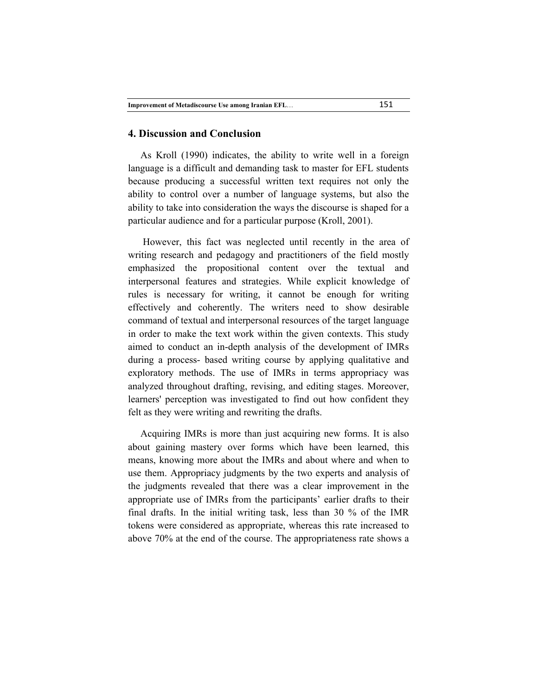#### **4. Discussion and Conclusion**

 As Kroll (1990) indicates, the ability to write well in a foreign language is a difficult and demanding task to master for EFL students because producing a successful written text requires not only the ability to control over a number of language systems, but also the ability to take into consideration the ways the discourse is shaped for a particular audience and for a particular purpose (Kroll, 2001).

 However, this fact was neglected until recently in the area of writing research and pedagogy and practitioners of the field mostly emphasized the propositional content over the textual and interpersonal features and strategies. While explicit knowledge of rules is necessary for writing, it cannot be enough for writing effectively and coherently. The writers need to show desirable command of textual and interpersonal resources of the target language in order to make the text work within the given contexts. This study aimed to conduct an in-depth analysis of the development of IMRs during a process- based writing course by applying qualitative and exploratory methods. The use of IMRs in terms appropriacy was analyzed throughout drafting, revising, and editing stages. Moreover, learners' perception was investigated to find out how confident they felt as they were writing and rewriting the drafts.

 Acquiring IMRs is more than just acquiring new forms. It is also about gaining mastery over forms which have been learned, this means, knowing more about the IMRs and about where and when to use them. Appropriacy judgments by the two experts and analysis of the judgments revealed that there was a clear improvement in the appropriate use of IMRs from the participants' earlier drafts to their final drafts. In the initial writing task, less than 30 % of the IMR tokens were considered as appropriate, whereas this rate increased to above 70% at the end of the course. The appropriateness rate shows a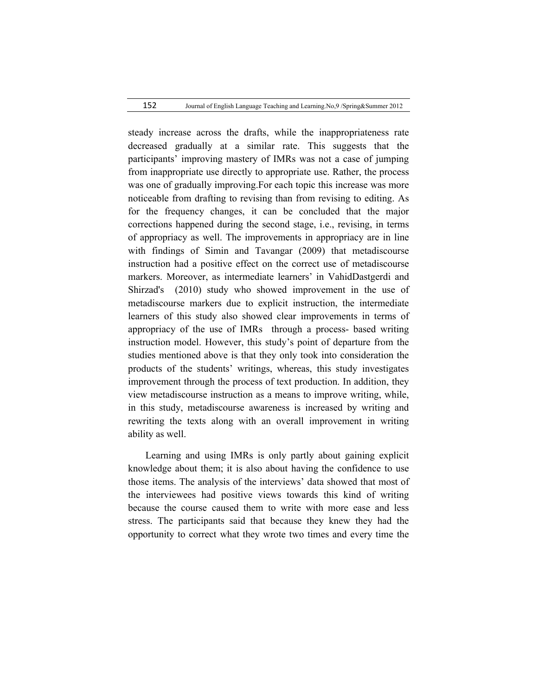152 Journal of English Language Teaching and Learning.No,9 /Spring&Summer 2012

steady increase across the drafts, while the inappropriateness rate decreased gradually at a similar rate. This suggests that the participants' improving mastery of IMRs was not a case of jumping from inappropriate use directly to appropriate use. Rather, the process was one of gradually improving.For each topic this increase was more noticeable from drafting to revising than from revising to editing. As for the frequency changes, it can be concluded that the major corrections happened during the second stage, i.e., revising, in terms of appropriacy as well. The improvements in appropriacy are in line with findings of Simin and Tavangar (2009) that metadiscourse instruction had a positive effect on the correct use of metadiscourse markers. Moreover, as intermediate learners' in VahidDastgerdi and Shirzad's (2010) study who showed improvement in the use of metadiscourse markers due to explicit instruction, the intermediate learners of this study also showed clear improvements in terms of appropriacy of the use of IMRs through a process- based writing instruction model. However, this study's point of departure from the studies mentioned above is that they only took into consideration the products of the students' writings, whereas, this study investigates improvement through the process of text production. In addition, they view metadiscourse instruction as a means to improve writing, while, in this study, metadiscourse awareness is increased by writing and rewriting the texts along with an overall improvement in writing ability as well.

 Learning and using IMRs is only partly about gaining explicit knowledge about them; it is also about having the confidence to use those items. The analysis of the interviews' data showed that most of the interviewees had positive views towards this kind of writing because the course caused them to write with more ease and less stress. The participants said that because they knew they had the opportunity to correct what they wrote two times and every time the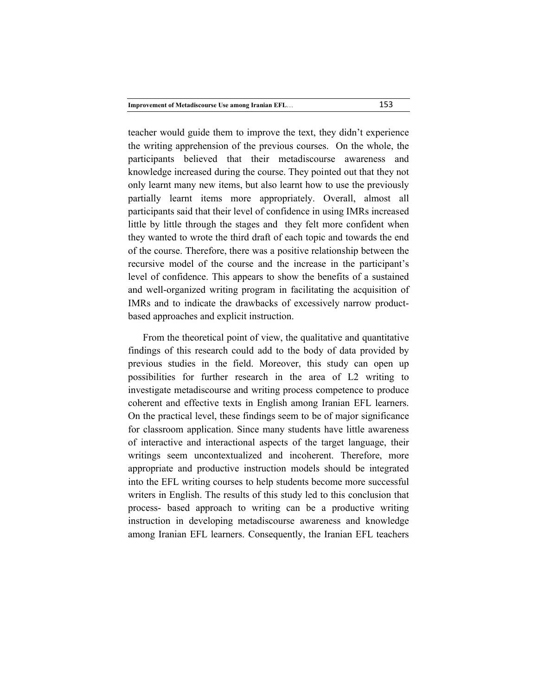teacher would guide them to improve the text, they didn't experience the writing apprehension of the previous courses. On the whole, the participants believed that their metadiscourse awareness and knowledge increased during the course. They pointed out that they not only learnt many new items, but also learnt how to use the previously partially learnt items more appropriately. Overall, almost all participants said that their level of confidence in using IMRs increased little by little through the stages and they felt more confident when they wanted to wrote the third draft of each topic and towards the end of the course. Therefore, there was a positive relationship between the recursive model of the course and the increase in the participant's level of confidence. This appears to show the benefits of a sustained and well-organized writing program in facilitating the acquisition of IMRs and to indicate the drawbacks of excessively narrow productbased approaches and explicit instruction.

 From the theoretical point of view, the qualitative and quantitative findings of this research could add to the body of data provided by previous studies in the field. Moreover, this study can open up possibilities for further research in the area of L2 writing to investigate metadiscourse and writing process competence to produce coherent and effective texts in English among Iranian EFL learners. On the practical level, these findings seem to be of major significance for classroom application. Since many students have little awareness of interactive and interactional aspects of the target language, their writings seem uncontextualized and incoherent. Therefore, more appropriate and productive instruction models should be integrated into the EFL writing courses to help students become more successful writers in English. The results of this study led to this conclusion that process- based approach to writing can be a productive writing instruction in developing metadiscourse awareness and knowledge among Iranian EFL learners. Consequently, the Iranian EFL teachers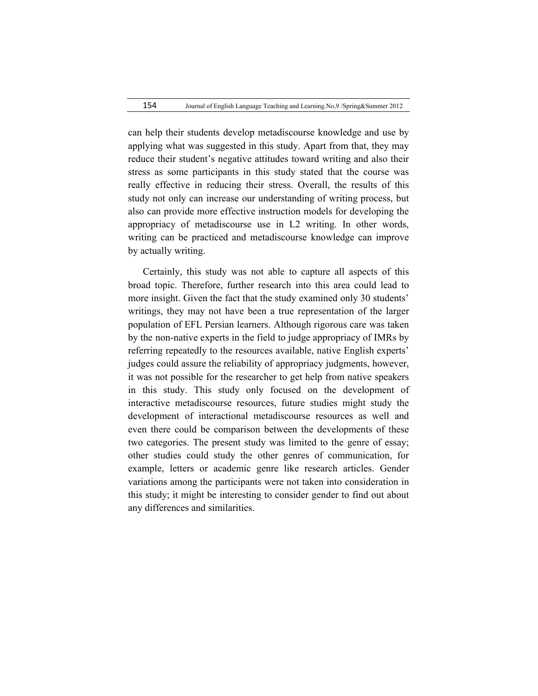can help their students develop metadiscourse knowledge and use by applying what was suggested in this study. Apart from that, they may reduce their student's negative attitudes toward writing and also their stress as some participants in this study stated that the course was really effective in reducing their stress. Overall, the results of this study not only can increase our understanding of writing process, but also can provide more effective instruction models for developing the appropriacy of metadiscourse use in L2 writing. In other words, writing can be practiced and metadiscourse knowledge can improve by actually writing.

 Certainly, this study was not able to capture all aspects of this broad topic. Therefore, further research into this area could lead to more insight. Given the fact that the study examined only 30 students' writings, they may not have been a true representation of the larger population of EFL Persian learners. Although rigorous care was taken by the non-native experts in the field to judge appropriacy of IMRs by referring repeatedly to the resources available, native English experts' judges could assure the reliability of appropriacy judgments, however, it was not possible for the researcher to get help from native speakers in this study. This study only focused on the development of interactive metadiscourse resources, future studies might study the development of interactional metadiscourse resources as well and even there could be comparison between the developments of these two categories. The present study was limited to the genre of essay; other studies could study the other genres of communication, for example, letters or academic genre like research articles. Gender variations among the participants were not taken into consideration in this study; it might be interesting to consider gender to find out about any differences and similarities.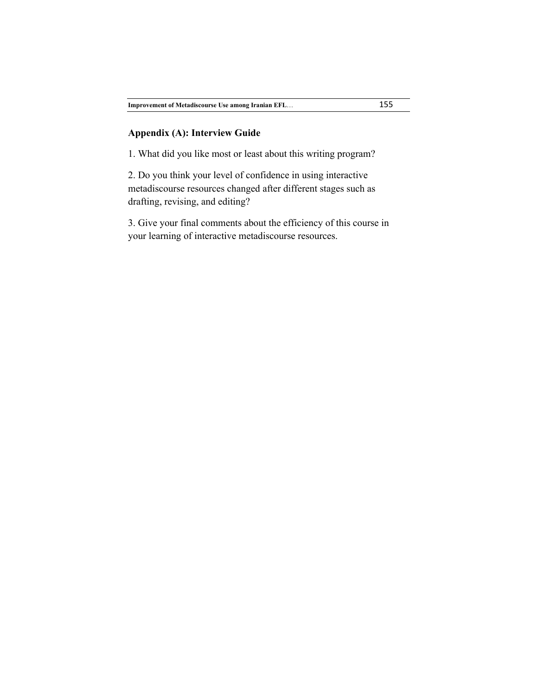## **Appendix (A): Interview Guide**

1. What did you like most or least about this writing program?

2. Do you think your level of confidence in using interactive metadiscourse resources changed after different stages such as drafting, revising, and editing?

3. Give your final comments about the efficiency of this course in your learning of interactive metadiscourse resources.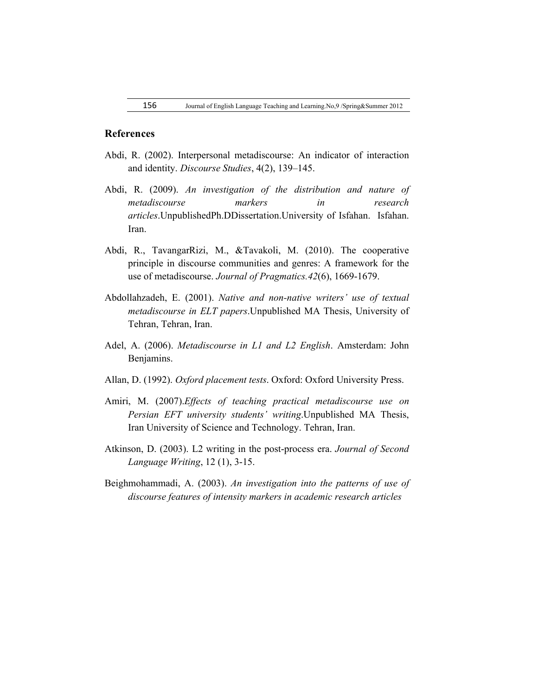### **References**

- Abdi, R. (2002). Interpersonal metadiscourse: An indicator of interaction and identity. *Discourse Studies*, 4(2), 139–145.
- Abdi, R. (2009). *An investigation of the distribution and nature of metadiscourse markers in research articles*.UnpublishedPh.DDissertation.University of Isfahan. Isfahan. Iran.
- Abdi, R., TavangarRizi, M., &Tavakoli, M. (2010). The cooperative principle in discourse communities and genres: A framework for the use of metadiscourse. *Journal of Pragmatics.42*(6), 1669-1679.
- Abdollahzadeh, E. (2001). *Native and non-native writers' use of textual metadiscourse in ELT papers*.Unpublished MA Thesis, University of Tehran, Tehran, Iran.
- Adel, A. (2006). *Metadiscourse in L1 and L2 English*. Amsterdam: John Benjamins.
- Allan, D. (1992). *Oxford placement tests*. Oxford: Oxford University Press.
- Amiri, M. (2007).*Effects of teaching practical metadiscourse use on Persian EFT university students' writing*.Unpublished MA Thesis, Iran University of Science and Technology. Tehran, Iran.
- Atkinson, D. (2003). L2 writing in the post-process era. *Journal of Second Language Writing*, 12 (1), 3-15.
- Beighmohammadi, A. (2003). *An investigation into the patterns of use of discourse features of intensity markers in academic research articles*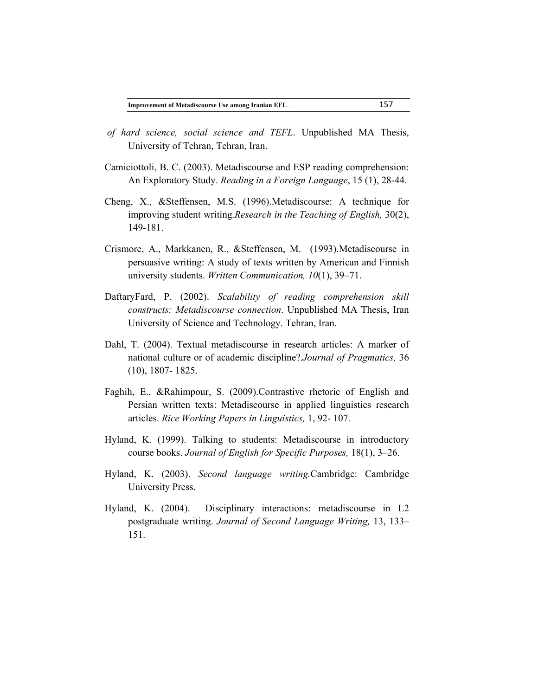- *of hard science, social science and TEFL*. Unpublished MA Thesis, University of Tehran, Tehran, Iran.
- Camiciottoli, B. C. (2003). Metadiscourse and ESP reading comprehension: An Exploratory Study. *Reading in a Foreign Language*, 15 (1), 28-44.
- Cheng, X., &Steffensen, M.S. (1996).Metadiscourse: A technique for improving student writing.*Research in the Teaching of English,* 30(2), 149-181.
- Crismore, A., Markkanen, R., &Steffensen, M. (1993).Metadiscourse in persuasive writing: A study of texts written by American and Finnish university students. *Written Communication, 10*(1), 39–71.
- DaftaryFard, P. (2002). *Scalability of reading comprehension skill constructs: Metadiscourse connection*. Unpublished MA Thesis, Iran University of Science and Technology. Tehran, Iran.
- Dahl, T. (2004). Textual metadiscourse in research articles: A marker of national culture or of academic discipline?.*Journal of Pragmatics,* 36 (10), 1807- 1825.
- Faghih, E., &Rahimpour, S. (2009).Contrastive rhetoric of English and Persian written texts: Metadiscourse in applied linguistics research articles. *Rice Working Papers in Linguistics,* 1, 92- 107.
- Hyland, K. (1999). Talking to students: Metadiscourse in introductory course books. *Journal of English for Specific Purposes,* 18(1), 3–26.
- Hyland, K. (2003). *Second language writing.*Cambridge: Cambridge University Press.
- Hyland, K. (2004). Disciplinary interactions: metadiscourse in L2 postgraduate writing. *Journal of Second Language Writing,* 13, 133– 151.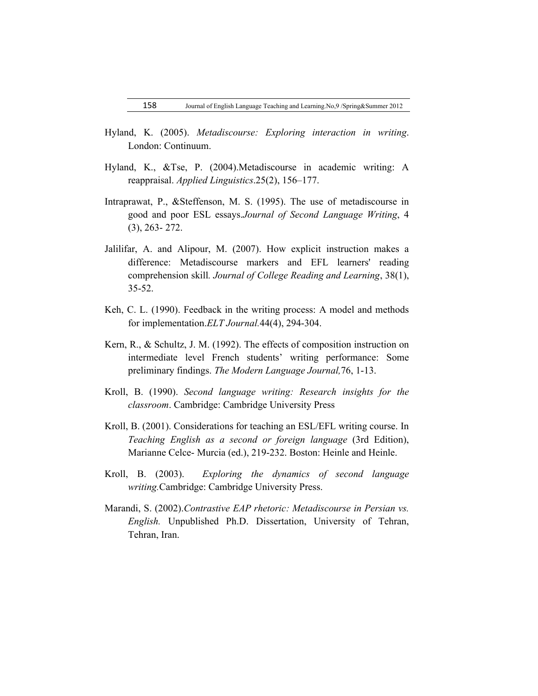- Hyland, K. (2005). *Metadiscourse: Exploring interaction in writing*. London: Continuum.
- Hyland, K., &Tse, P. (2004).Metadiscourse in academic writing: A reappraisal. *Applied Linguistics*.25(2), 156–177.
- Intraprawat, P., &Steffenson, M. S. (1995). The use of metadiscourse in good and poor ESL essays.*Journal of Second Language Writing*, 4 (3), 263- 272.
- Jalilifar, A. and Alipour, M. (2007). How explicit instruction makes a difference: Metadiscourse markers and EFL learners' reading comprehension skill*. Journal of College Reading and Learning*, 38(1), 35-52.
- Keh, C. L. (1990). Feedback in the writing process: A model and methods for implementation.*ELT Journal.*44(4), 294-304.
- Kern, R., & Schultz, J. M. (1992). The effects of composition instruction on intermediate level French students' writing performance: Some preliminary findings. *The Modern Language Journal,*76, 1-13.
- Kroll, B. (1990). *Second language writing: Research insights for the classroom*. Cambridge: Cambridge University Press
- Kroll, B. (2001). Considerations for teaching an ESL/EFL writing course. In *Teaching English as a second or foreign language* (3rd Edition), Marianne Celce- Murcia (ed.), 219-232. Boston: Heinle and Heinle.
- Kroll, B. (2003). *Exploring the dynamics of second language writing.*Cambridge: Cambridge University Press.
- Marandi, S. (2002).*Contrastive EAP rhetoric: Metadiscourse in Persian vs. English.* Unpublished Ph.D. Dissertation, University of Tehran, Tehran, Iran.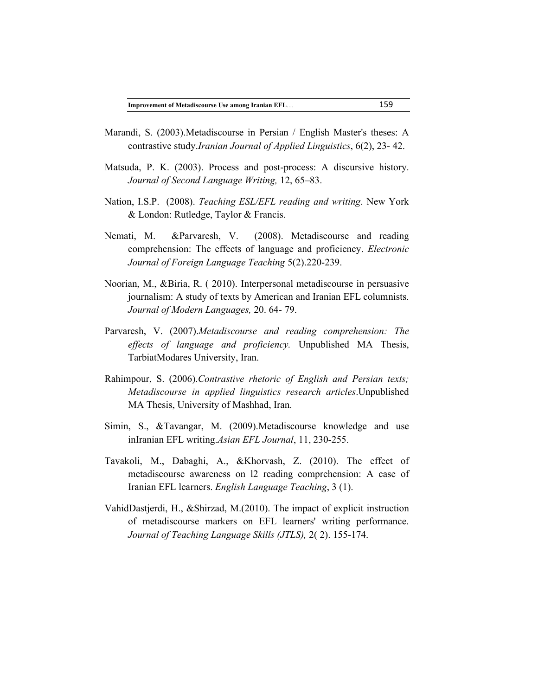- Marandi, S. (2003).Metadiscourse in Persian / English Master's theses: A contrastive study.*Iranian Journal of Applied Linguistics*, 6(2), 23- 42.
- Matsuda, P. K. (2003). Process and post-process: A discursive history. *Journal of Second Language Writing,* 12, 65–83.
- Nation, I.S.P. (2008). *Teaching ESL/EFL reading and writing*. New York & London: Rutledge, Taylor & Francis.
- Nemati, M. &Parvaresh, V. (2008). Metadiscourse and reading comprehension: The effects of language and proficiency. *Electronic Journal of Foreign Language Teaching* 5(2).220-239.
- Noorian, M., &Biria, R. ( 2010). Interpersonal metadiscourse in persuasive journalism: A study of texts by American and Iranian EFL columnists. *Journal of Modern Languages,* 20. 64- 79.
- Parvaresh, V. (2007).*Metadiscourse and reading comprehension: The effects of language and proficiency.* Unpublished MA Thesis, TarbiatModares University, Iran.
- Rahimpour, S. (2006).*Contrastive rhetoric of English and Persian texts; Metadiscourse in applied linguistics research articles*.Unpublished MA Thesis, University of Mashhad, Iran.
- Simin, S., &Tavangar, M. (2009).Metadiscourse knowledge and use inIranian EFL writing.*Asian EFL Journal*, 11, 230-255.
- Tavakoli, M., Dabaghi, A., &Khorvash, Z. (2010). The effect of metadiscourse awareness on l2 reading comprehension: A case of Iranian EFL learners. *English Language Teaching*, 3 (1).
- VahidDastjerdi, H., &Shirzad, M.(2010). The impact of explicit instruction of metadiscourse markers on EFL learners' writing performance. *Journal of Teaching Language Skills (JTLS),* 2( 2). 155-174.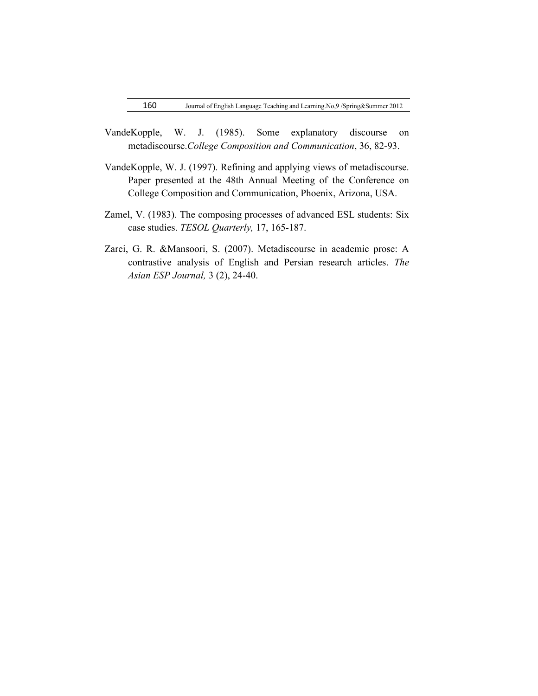- VandeKopple, W. J. (1985). Some explanatory discourse on metadiscourse.*College Composition and Communication*, 36, 82-93.
- VandeKopple, W. J. (1997). Refining and applying views of metadiscourse. Paper presented at the 48th Annual Meeting of the Conference on College Composition and Communication, Phoenix, Arizona, USA.
- Zamel, V. (1983). The composing processes of advanced ESL students: Six case studies. *TESOL Quarterly,* 17, 165-187.
- Zarei, G. R. &Mansoori, S. (2007). Metadiscourse in academic prose: A contrastive analysis of English and Persian research articles. *The Asian ESP Journal,* 3 (2), 24-40.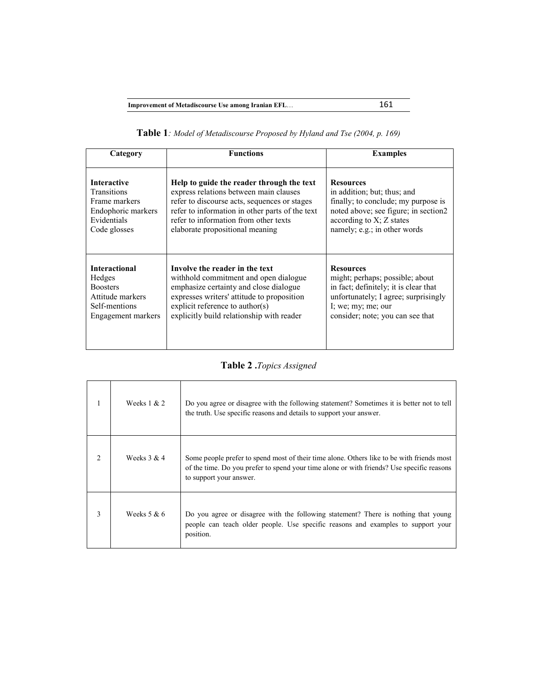|  |  | Table 1: Model of Metadiscourse Proposed by Hyland and Tse (2004, p. 169) |  |  |  |  |  |
|--|--|---------------------------------------------------------------------------|--|--|--|--|--|
|--|--|---------------------------------------------------------------------------|--|--|--|--|--|

| Category             | <b>Functions</b>                                | <b>Examples</b>                       |
|----------------------|-------------------------------------------------|---------------------------------------|
| <b>Interactive</b>   | Help to guide the reader through the text       | <b>Resources</b>                      |
| Transitions          | express relations between main clauses          | in addition; but; thus; and           |
| Frame markers        | refer to discourse acts, sequences or stages    | finally; to conclude; my purpose is   |
| Endophoric markers   | refer to information in other parts of the text | noted above; see figure; in section2  |
| Evidentials          | refer to information from other texts           | according to $X$ ; $Z$ states         |
| Code glosses         | elaborate propositional meaning                 | namely; e.g.; in other words          |
| <b>Interactional</b> | Involve the reader in the text                  | <b>Resources</b>                      |
| Hedges               | withhold commitment and open dialogue           | might; perhaps; possible; about       |
| <b>Boosters</b>      | emphasize certainty and close dialogue          | in fact; definitely; it is clear that |
| Attitude markers     | expresses writers' attitude to proposition      | unfortunately; I agree; surprisingly  |
| Self-mentions        | explicit reference to $\text{author}(s)$        | I; we; my; me; our                    |
| Engagement markers   | explicitly build relationship with reader       | consider; note; you can see that      |

# **Table 2 .***Topics Assigned*

|               | Weeks $1 & 2$ | Do you agree or disagree with the following statement? Sometimes it is better not to tell<br>the truth. Use specific reasons and details to support your answer.                                                  |
|---------------|---------------|-------------------------------------------------------------------------------------------------------------------------------------------------------------------------------------------------------------------|
| $\mathcal{D}$ | Weeks $3 & 4$ | Some people prefer to spend most of their time alone. Others like to be with friends most<br>of the time. Do you prefer to spend your time alone or with friends? Use specific reasons<br>to support your answer. |
| 3             | Weeks $5 & 6$ | Do you agree or disagree with the following statement? There is nothing that young<br>people can teach older people. Use specific reasons and examples to support your<br>position.                               |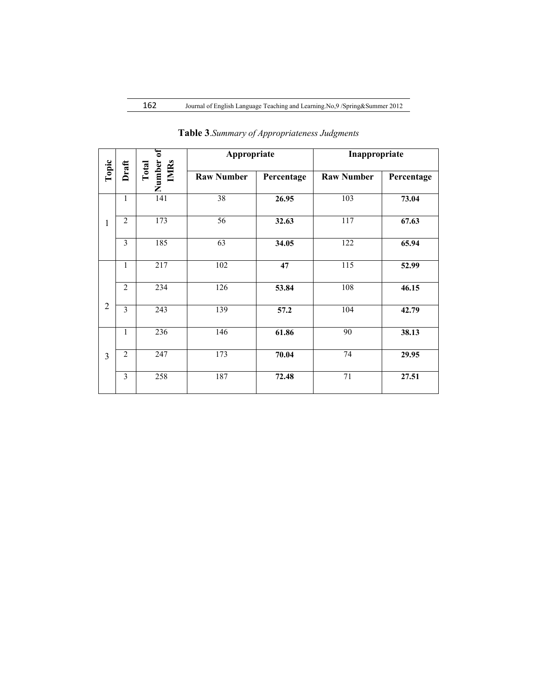|                | Draft                   | Number of<br>IMRs<br>Total | Appropriate       |            | Inappropriate     |            |  |
|----------------|-------------------------|----------------------------|-------------------|------------|-------------------|------------|--|
| Topic          |                         |                            | <b>Raw Number</b> | Percentage | <b>Raw Number</b> | Percentage |  |
|                | $\mathbf{1}$            | 141                        | 38                | 26.95      | 103               | 73.04      |  |
| 1              | $\overline{2}$          | $\overline{173}$           | 56                | 32.63      | 117               | 67.63      |  |
|                | $\overline{\mathbf{3}}$ | 185                        | 63                | 34.05      | 122               | 65.94      |  |
|                | $\mathbf{1}$            | 217                        | 102               | 47         | 115               | 52.99      |  |
|                | $\overline{2}$          | 234                        | 126               | 53.84      | 108               | 46.15      |  |
| $\overline{2}$ | $\overline{3}$          | 243                        | 139               | 57.2       | 104               | 42.79      |  |
| 3              | $\mathbf{1}$            | 236                        | 146               | 61.86      | 90                | 38.13      |  |
|                | $\overline{2}$          | 247                        | 173               | 70.04      | 74                | 29.95      |  |
|                | $\overline{\mathbf{3}}$ | 258                        | 187               | 72.48      | $\overline{71}$   | 27.51      |  |

**Table 3**.*Summary of Appropriateness Judgments*